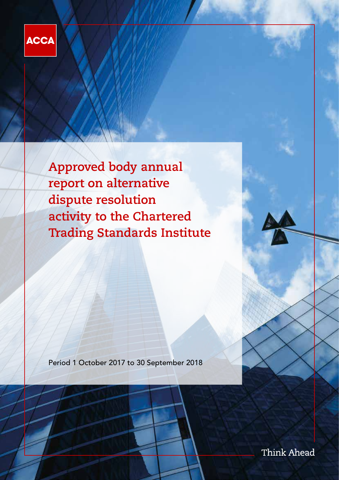

**Approved body annual report on alternative dispute resolution activity to the Chartered Trading Standards Institute**

Period 1 October 2017 to 30 September 2018

Think Ahead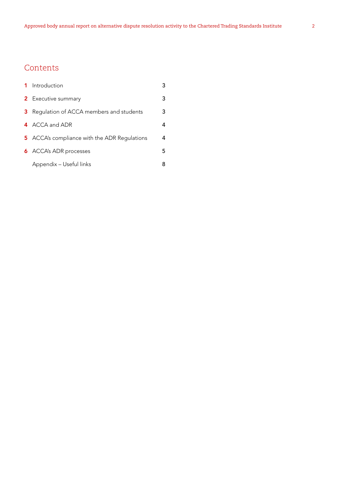# **Contents**

|   | 1 Introduction                               | 3 |
|---|----------------------------------------------|---|
|   | <b>2</b> Executive summary                   | 3 |
| 3 | Regulation of ACCA members and students      | 3 |
|   | 4 ACCA and ADR                               | 4 |
|   | 5 ACCA's compliance with the ADR Regulations | 4 |
|   | <b>6</b> ACCA's ADR processes                | 5 |
|   | Appendix - Useful links                      | 8 |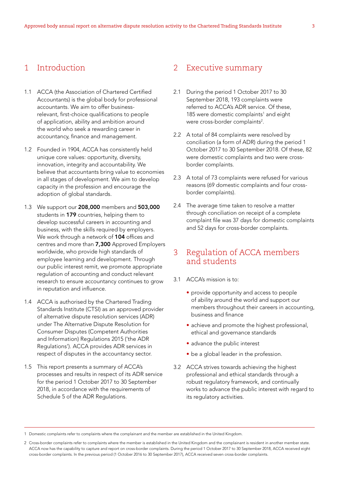# 1 Introduction

- 1.1 ACCA (the Association of Chartered Certified Accountants) is the global body for professional accountants. We aim to offer businessrelevant, first-choice qualifications to people of application, ability and ambition around the world who seek a rewarding career in accountancy, finance and management.
- 1.2 Founded in 1904, ACCA has consistently held unique core values: opportunity, diversity, innovation, integrity and accountability. We believe that accountants bring value to economies in all stages of development. We aim to develop capacity in the profession and encourage the adoption of global standards.
- 1.3 We support our 208,000 members and 503,000 students in 179 countries, helping them to develop successful careers in accounting and business, with the skills required by employers. We work through a network of 104 offices and centres and more than 7,300 Approved Employers worldwide, who provide high standards of employee learning and development. Through our public interest remit, we promote appropriate regulation of accounting and conduct relevant research to ensure accountancy continues to grow in reputation and influence.
- 1.4 ACCA is authorised by the Chartered Trading Standards Institute (CTSI) as an approved provider of alternative dispute resolution services (ADR) under The Alternative Dispute Resolution for Consumer Disputes (Competent Authorities and Information) Regulations 2015 ('the ADR Regulations'). ACCA provides ADR services in respect of disputes in the accountancy sector.
- 1.5 This report presents a summary of ACCA's processes and results in respect of its ADR service for the period 1 October 2017 to 30 September 2018, in accordance with the requirements of Schedule 5 of the ADR Regulations.

# 2 Executive summary

- 2.1 During the period 1 October 2017 to 30 September 2018, 193 complaints were referred to ACCA's ADR service. Of these, 185 were domestic complaints<sup>1</sup> and eight were cross-border complaints<sup>2</sup>.
- 2.2 A total of 84 complaints were resolved by conciliation (a form of ADR) during the period 1 October 2017 to 30 September 2018. Of these, 82 were domestic complaints and two were crossborder complaints.
- 2.3 A total of 73 complaints were refused for various reasons (69 domestic complaints and four crossborder complaints).
- 2.4 The average time taken to resolve a matter through conciliation on receipt of a complete complaint file was 37 days for domestic complaints and 52 days for cross-border complaints.

# 3 Regulation of ACCA members and students

- 3.1 ACCA's mission is to:
	- provide opportunity and access to people of ability around the world and support our members throughout their careers in accounting, business and finance
	- achieve and promote the highest professional, ethical and governance standards
	- advance the public interest
	- be a global leader in the profession.
- 3.2 ACCA strives towards achieving the highest professional and ethical standards through a robust regulatory framework, and continually works to advance the public interest with regard to its regulatory activities.

1 Domestic complaints refer to complaints where the complainant and the member are established in the United Kingdom.

<sup>2</sup> Cross-border complaints refer to complaints where the member is established in the United Kingdom and the complainant is resident in another member state. ACCA now has the capability to capture and report on cross-border complaints. During the period 1 October 2017 to 30 September 2018, ACCA received eight cross-border complaints. In the previous period (1 October 2016 to 30 September 2017), ACCA received seven cross-border complaints.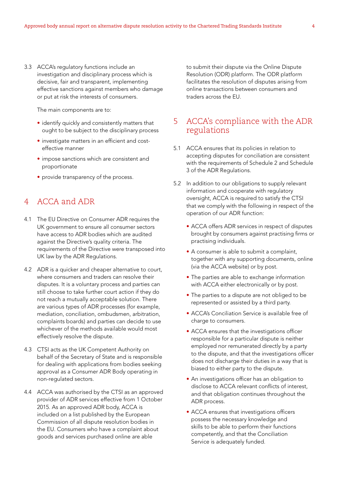3.3 ACCA's regulatory functions include an investigation and disciplinary process which is decisive, fair and transparent, implementing effective sanctions against members who damage or put at risk the interests of consumers.

The main components are to:

- identify quickly and consistently matters that ought to be subject to the disciplinary process
- investigate matters in an efficient and costeffective manner
- impose sanctions which are consistent and proportionate
- provide transparency of the process.

# 4 ACCA and ADR

- 4.1 The EU Directive on Consumer ADR requires the UK government to ensure all consumer sectors have access to ADR bodies which are audited against the Directive's quality criteria. The requirements of the Directive were transposed into UK law by the ADR Regulations.
- 4.2 ADR is a quicker and cheaper alternative to court, where consumers and traders can resolve their disputes. It is a voluntary process and parties can still choose to take further court action if they do not reach a mutually acceptable solution. There are various types of ADR processes (for example, mediation, conciliation, ombudsmen, arbitration, complaints boards) and parties can decide to use whichever of the methods available would most effectively resolve the dispute.
- 4.3 CTSI acts as the UK Competent Authority on behalf of the Secretary of State and is responsible for dealing with applications from bodies seeking approval as a Consumer ADR Body operating in non-regulated sectors.
- 4.4 ACCA was authorised by the CTSI as an approved provider of ADR services effective from 1 October 2015. As an approved ADR body, ACCA is included on a list published by the European Commission of all dispute resolution bodies in the EU. Consumers who have a complaint about goods and services purchased online are able

to submit their dispute via the Online Dispute Resolution (ODR) platform. The ODR platform facilitates the resolution of disputes arising from online transactions between consumers and traders across the EU.

# 5 ACCA's compliance with the ADR regulations

- 5.1 ACCA ensures that its policies in relation to accepting disputes for conciliation are consistent with the requirements of Schedule 2 and Schedule 3 of the ADR Regulations.
- 5.2 In addition to our obligations to supply relevant information and cooperate with regulatory oversight, ACCA is required to satisfy the CTSI that we comply with the following in respect of the operation of our ADR function:
	- ACCA offers ADR services in respect of disputes brought by consumers against practising firms or practising individuals.
	- A consumer is able to submit a complaint, together with any supporting documents, online (via the ACCA website) or by post.
	- The parties are able to exchange information with ACCA either electronically or by post.
	- The parties to a dispute are not obliged to be represented or assisted by a third party.
	- ACCA's Conciliation Service is available free of charge to consumers.
	- ACCA ensures that the investigations officer responsible for a particular dispute is neither employed nor remunerated directly by a party to the dispute, and that the investigations officer does not discharge their duties in a way that is biased to either party to the dispute.
	- An investigations officer has an obligation to disclose to ACCA relevant conflicts of interest, and that obligation continues throughout the ADR process.
	- ACCA ensures that investigations officers possess the necessary knowledge and skills to be able to perform their functions competently, and that the Conciliation Service is adequately funded.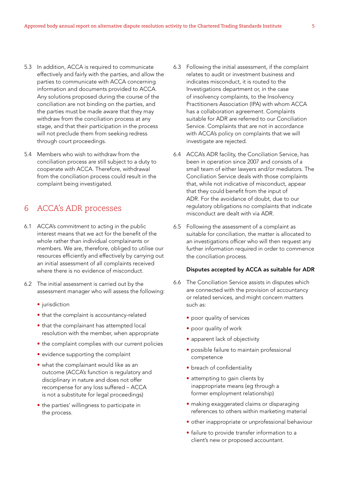- 5.3 In addition, ACCA is required to communicate effectively and fairly with the parties, and allow the parties to communicate with ACCA concerning information and documents provided to ACCA. Any solutions proposed during the course of the conciliation are not binding on the parties, and the parties must be made aware that they may withdraw from the conciliation process at any stage, and that their participation in the process will not preclude them from seeking redress through court proceedings.
- 5.4 Members who wish to withdraw from the conciliation process are still subject to a duty to cooperate with ACCA. Therefore, withdrawal from the conciliation process could result in the complaint being investigated.

# 6 ACCA's ADR processes

- 6.1 ACCA's commitment to acting in the public interest means that we act for the benefit of the whole rather than individual complainants or members. We are, therefore, obliged to utilise our resources efficiently and effectively by carrying out an initial assessment of all complaints received where there is no evidence of misconduct.
- 6.2 The initial assessment is carried out by the assessment manager who will assess the following:
	- jurisdiction
	- that the complaint is accountancy-related
	- that the complainant has attempted local resolution with the member, when appropriate
	- the complaint complies with our current policies
	- evidence supporting the complaint
	- what the complainant would like as an outcome (ACCA's function is regulatory and disciplinary in nature and does not offer recompense for any loss suffered – ACCA is not a substitute for legal proceedings)
	- the parties' willingness to participate in the process.
- 6.3 Following the initial assessment, if the complaint relates to audit or investment business and indicates misconduct, it is routed to the Investigations department or, in the case of insolvency complaints, to the Insolvency Practitioners Association (IPA) with whom ACCA has a collaboration agreement. Complaints suitable for ADR are referred to our Conciliation Service. Complaints that are not in accordance with ACCA's policy on complaints that we will investigate are rejected.
- 6.4 ACCA's ADR facility, the Conciliation Service, has been in operation since 2007 and consists of a small team of either lawyers and/or mediators. The Conciliation Service deals with those complaints that, while not indicative of misconduct, appear that they could benefit from the input of ADR. For the avoidance of doubt, due to our regulatory obligations no complaints that indicate misconduct are dealt with via ADR.
- 6.5 Following the assessment of a complaint as suitable for conciliation, the matter is allocated to an investigations officer who will then request any further information required in order to commence the conciliation process.

#### Disputes accepted by ACCA as suitable for ADR

- 6.6 The Conciliation Service assists in disputes which are connected with the provision of accountancy or related services, and might concern matters such as:
	- poor quality of services
	- poor quality of work
	- apparent lack of objectivity
	- possible failure to maintain professional competence
	- breach of confidentiality
	- attempting to gain clients by inappropriate means (eg through a former employment relationship)
	- making exaggerated claims or disparaging references to others within marketing material
	- other inappropriate or unprofessional behaviour
	- failure to provide transfer information to a client's new or proposed accountant.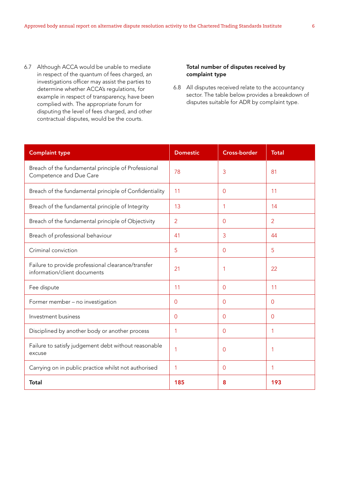6.7 Although ACCA would be unable to mediate in respect of the quantum of fees charged, an investigations officer may assist the parties to determine whether ACCA's regulations, for example in respect of transparency, have been complied with. The appropriate forum for disputing the level of fees charged, and other contractual disputes, would be the courts.

## Total number of disputes received by complaint type

6.8 All disputes received relate to the accountancy sector. The table below provides a breakdown of disputes suitable for ADR by complaint type.

| <b>Complaint type</b>                                                              | <b>Domestic</b> | <b>Cross-border</b> | <b>Total</b>   |
|------------------------------------------------------------------------------------|-----------------|---------------------|----------------|
| Breach of the fundamental principle of Professional<br>Competence and Due Care     | 78              | 3                   | 81             |
| Breach of the fundamental principle of Confidentiality                             | 11              | $\Omega$            | 11             |
| Breach of the fundamental principle of Integrity                                   | 13              | 1                   | 14             |
| Breach of the fundamental principle of Objectivity                                 | $\overline{2}$  | $\Omega$            | $\overline{2}$ |
| Breach of professional behaviour                                                   | 41              | 3                   | 44             |
| Criminal conviction                                                                | 5               | $\Omega$            | 5              |
| Failure to provide professional clearance/transfer<br>information/client documents | 21              | 1                   | 22             |
| Fee dispute                                                                        | 11              | $\Omega$            | 11             |
| Former member - no investigation                                                   | $\overline{0}$  | 0                   | $\overline{0}$ |
| Investment business                                                                | $\Omega$        | $\Omega$            | $\Omega$       |
| Disciplined by another body or another process                                     | 1               | $\Omega$            | 1              |
| Failure to satisfy judgement debt without reasonable<br>excuse                     |                 | $\Omega$            |                |
| Carrying on in public practice whilst not authorised                               | 1               | $\Omega$            | 1              |
| Total                                                                              | 185             | 8                   | 193            |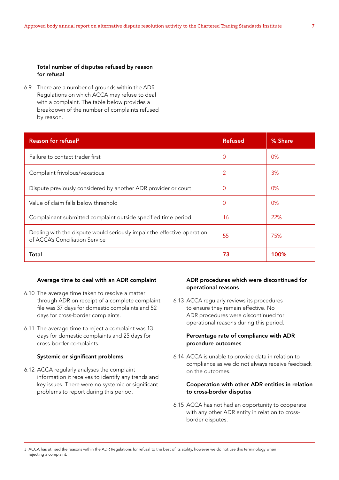### Total number of disputes refused by reason for refusal

6.9 There are a number of grounds within the ADR Regulations on which ACCA may refuse to deal with a complaint. The table below provides a breakdown of the number of complaints refused by reason.

| Reason for refusal <sup>3</sup>                                                                           | <b>Refused</b> | % Share |
|-----------------------------------------------------------------------------------------------------------|----------------|---------|
| Failure to contact trader first                                                                           | $\overline{0}$ | 0%      |
| Complaint frivolous/vexatious                                                                             | $\overline{2}$ | 3%      |
| Dispute previously considered by another ADR provider or court                                            | 0              | 0%      |
| Value of claim falls below threshold                                                                      | $\Omega$       | 0%      |
| Complainant submitted complaint outside specified time period                                             | 16             | 22%     |
| Dealing with the dispute would seriously impair the effective operation<br>of ACCA's Conciliation Service | 55             | 75%     |
| Total                                                                                                     | 73             | 100%    |

#### Average time to deal with an ADR complaint

- 6.10 The average time taken to resolve a matter through ADR on receipt of a complete complaint file was 37 days for domestic complaints and 52 days for cross-border complaints.
- 6.11 The average time to reject a complaint was 13 days for domestic complaints and 25 days for cross-border complaints.

### Systemic or significant problems

6.12 ACCA regularly analyses the complaint information it receives to identify any trends and key issues. There were no systemic or significant problems to report during this period.

### ADR procedures which were discontinued for operational reasons

6.13 ACCA regularly reviews its procedures to ensure they remain effective. No ADR procedures were discontinued for operational reasons during this period.

### Percentage rate of compliance with ADR procedure outcomes

6.14 ACCA is unable to provide data in relation to compliance as we do not always receive feedback on the outcomes.

### Cooperation with other ADR entities in relation to cross-border disputes

6.15 ACCA has not had an opportunity to cooperate with any other ADR entity in relation to crossborder disputes.

<sup>3</sup> ACCA has utilised the reasons within the ADR Regulations for refusal to the best of its ability, however we do not use this terminology when rejecting a complaint.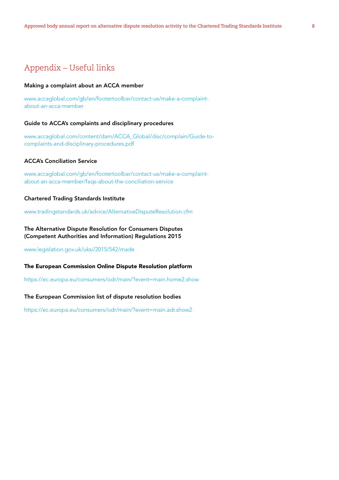# Appendix – Useful links

#### Making a complaint about an ACCA member

[www.accaglobal.com/gb/en/footertoolbar/contact-us/make-a-complaint](http://www.accaglobal.com/gb/en/footertoolbar/contact-us/make-a-complaint-about-an-acca-member)[about-an-acca-member](http://www.accaglobal.com/gb/en/footertoolbar/contact-us/make-a-complaint-about-an-acca-member)

#### Guide to ACCA's complaints and disciplinary procedures

[www.accaglobal.com/content/dam/ACCA\\_Global/disc/complain/Guide-to](http://www.accaglobal.com/content/dam/ACCA_Global/disc/complain/Guide-to-complaints-and-disciplinary-procedures.pdf)[complaints-and-disciplinary-procedures.pdf](http://www.accaglobal.com/content/dam/ACCA_Global/disc/complain/Guide-to-complaints-and-disciplinary-procedures.pdf)

### ACCA's Conciliation Service

[www.accaglobal.com/gb/en/footertoolbar/contact-us/make-a-complaint](http://www.accaglobal.com/gb/en/footertoolbar/contact-us/make-a-complaint-about-an-acca-member/faqs-about-the-conciliation-service)[about-an-acca-member/faqs-about-the-conciliation-service](http://www.accaglobal.com/gb/en/footertoolbar/contact-us/make-a-complaint-about-an-acca-member/faqs-about-the-conciliation-service)

#### Chartered Trading Standards Institute

[www.tradingstandards.uk/advice/AlternativeDisputeResolution.cfm](http://www.tradingstandards.uk/advice/AlternativeDisputeResolution.cfm)

### The Alternative Dispute Resolution for Consumers Disputes (Competent Authorities and Information) Regulations 2015

[www.legislation.gov.uk/uksi/2015/542/made](http://www.legislation.gov.uk/uksi/2015/542/made)

#### The European Commission Online Dispute Resolution platform

<https://ec.europa.eu/consumers/odr/main/?event=main.home2.show>

#### The European Commission list of dispute resolution bodies

<https://ec.europa.eu/consumers/odr/main/?event=main.adr.show2>